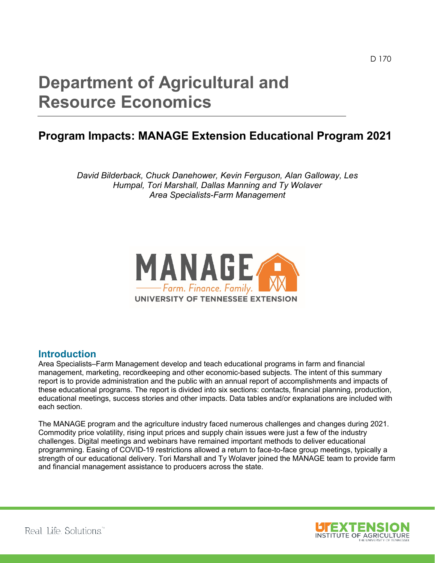# **Department of Agricultural and Resource Economics**

## **Program Impacts: MANAGE Extension Educational Program 2021**

*David Bilderback, Chuck Danehower, Kevin Ferguson, Alan Galloway, Les Humpal, Tori Marshall, Dallas Manning and Ty Wolaver Area Specialists-Farm Management*



#### **Introduction**

Area Specialists–Farm Management develop and teach educational programs in farm and financial management, marketing, recordkeeping and other economic-based subjects. The intent of this summary report is to provide administration and the public with an annual report of accomplishments and impacts of these educational programs. The report is divided into six sections: contacts, financial planning, production, educational meetings, success stories and other impacts. Data tables and/or explanations are included with each section.

The MANAGE program and the agriculture industry faced numerous challenges and changes during 2021. Commodity price volatility, rising input prices and supply chain issues were just a few of the industry challenges. Digital meetings and webinars have remained important methods to deliver educational programming. Easing of COVID-19 restrictions allowed a return to face-to-face group meetings, typically a strength of our educational delivery. Tori Marshall and Ty Wolaver joined the MANAGE team to provide farm and financial management assistance to producers across the state.

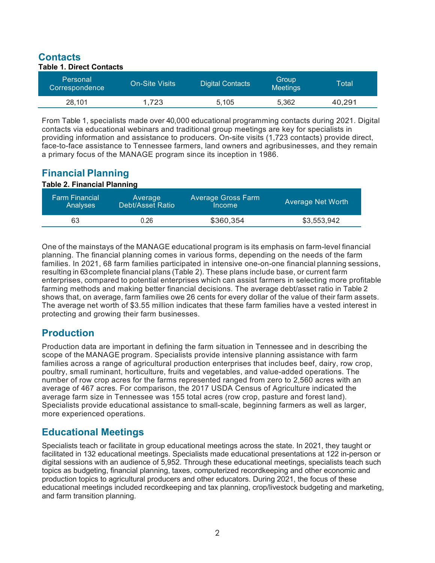## **Contacts**

| <b>Table 1. Direct Contacts</b> |                       |                         |                          |        |  |
|---------------------------------|-----------------------|-------------------------|--------------------------|--------|--|
| Personal<br>Correspondence      | <b>On-Site Visits</b> | <b>Digital Contacts</b> | Group<br><b>Meetings</b> | Total  |  |
| 28,101                          | 1.723                 | 5.105                   | 5.362                    | 40.291 |  |

From Table 1, specialists made over 40,000 educational programming contacts during 2021. Digital contacts via educational webinars and traditional group meetings are key for specialists in providing information and assistance to producers. On-site visits (1,723 contacts) provide direct, face-to-face assistance to Tennessee farmers, land owners and agribusinesses, and they remain a primary focus of the MANAGE program since its inception in 1986.

## **Financial Planning**

#### **Table 2. Financial Planning**

| <b>Farm Financial</b> | Average                 | <b>Average Gross Farm</b> | <b>Average Net Worth</b> |
|-----------------------|-------------------------|---------------------------|--------------------------|
| <b>Analyses</b>       | <b>Debt/Asset Ratio</b> | Income                    |                          |
| 63                    | 0.26                    | \$360,354                 | \$3,553,942              |

One of the mainstays of the MANAGE educational program is its emphasis on farm-level financial planning. The financial planning comes in various forms, depending on the needs of the farm families. In 2021, 68 farm families participated in intensive one-on-one financial planning sessions, resulting in 63complete financial plans (Table 2). These plans include base, or current farm enterprises, compared to potential enterprises which can assist farmers in selecting more profitable farming methods and making better financial decisions. The average debt/asset ratio in Table 2 shows that, on average, farm families owe 26 cents for every dollar of the value of their farm assets. The average net worth of \$3.55 million indicates that these farm families have a vested interest in protecting and growing their farm businesses.

### **Production**

Production data are important in defining the farm situation in Tennessee and in describing the scope of the MANAGE program. Specialists provide intensive planning assistance with farm families across a range of agricultural production enterprises that includes beef, dairy, row crop, poultry, small ruminant, horticulture, fruits and vegetables, and value-added operations. The number of row crop acres for the farms represented ranged from zero to 2,560 acres with an average of 467 acres. For comparison, the 2017 USDA Census of Agriculture indicated the average farm size in Tennessee was 155 total acres (row crop, pasture and forest land). Specialists provide educational assistance to small-scale, beginning farmers as well as larger, more experienced operations.

#### **Educational Meetings**

Specialists teach or facilitate in group educational meetings across the state. In 2021, they taught or facilitated in 132 educational meetings. Specialists made educational presentations at 122 in-person or digital sessions with an audience of 5,952. Through these educational meetings, specialists teach such topics as budgeting, financial planning, taxes, computerized recordkeeping and other economic and production topics to agricultural producers and other educators. During 2021, the focus of these educational meetings included recordkeeping and tax planning, crop/livestock budgeting and marketing, and farm transition planning.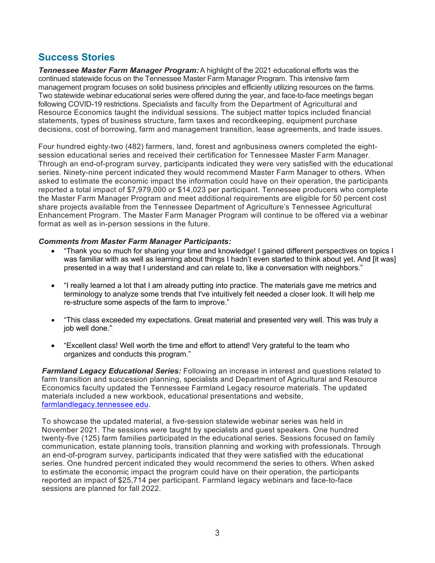#### **Success Stories**

*Tennessee Master Farm Manager Program:*A highlight of the 2021 educational efforts was the continued statewide focus on the Tennessee Master Farm Manager Program. This intensive farm management program focuses on solid business principles and efficiently utilizing resources on the farms. Two statewide webinar educational series were offered during the year, and face-to-face meetings began following COVID-19 restrictions. Specialists and faculty from the Department of Agricultural and Resource Economics taught the individual sessions. The subject matter topics included financial statements, types of business structure, farm taxes and recordkeeping, equipment purchase decisions, cost of borrowing, farm and management transition, lease agreements, and trade issues.

Four hundred eighty-two (482) farmers, land, forest and agribusiness owners completed the eightsession educational series and received their certification for Tennessee Master Farm Manager. Through an end-of-program survey, participants indicated they were very satisfied with the educational series. Ninety-nine percent indicated they would recommend Master Farm Manager to others. When asked to estimate the economic impact the information could have on their operation, the participants reported a total impact of \$7,979,000 or \$14,023 per participant. Tennessee producers who complete the Master Farm Manager Program and meet additional requirements are eligible for 50 percent cost share projects available from the Tennessee Department of Agriculture's Tennessee Agricultural Enhancement Program. The Master Farm Manager Program will continue to be offered via a webinar format as well as in-person sessions in the future.

#### *Comments from Master Farm Manager Participants:*

- "Thank you so much for sharing your time and knowledge! I gained different perspectives on topics I was familiar with as well as learning about things I hadn't even started to think about yet. And [it was] presented in a way that I understand and can relate to, like a conversation with neighbors."
- "I really learned a lot that I am already putting into practice. The materials gave me metrics and terminology to analyze some trends that I've intuitively felt needed a closer look. It will help me re-structure some aspects of the farm to improve."
- "This class exceeded my expectations. Great material and presented very well. This was truly a job well done."
- "Excellent class! Well worth the time and effort to attend! Very grateful to the team who organizes and conducts this program."

*Farmland Legacy Educational Series:* Following an increase in interest and questions related to farm transition and succession planning, specialists and Department of Agricultural and Resource Economics faculty updated the Tennessee Farmland Legacy resource materials. The updated materials included a new workbook, educational presentations and website, farmlandlegacy.tennessee.edu.

To showcase the updated material, a five-session statewide webinar series was held in November 2021. The sessions were taught by specialists and guest speakers. One hundred twenty-five (125) farm families participated in the educational series. Sessions focused on family communication, estate planning tools, transition planning and working with professionals. Through an end-of-program survey, participants indicated that they were satisfied with the educational series. One hundred percent indicated they would recommend the series to others. When asked to estimate the economic impact the program could have on their operation, the participants reported an impact of \$25,714 per participant. Farmland legacy webinars and face-to-face sessions are planned for fall 2022.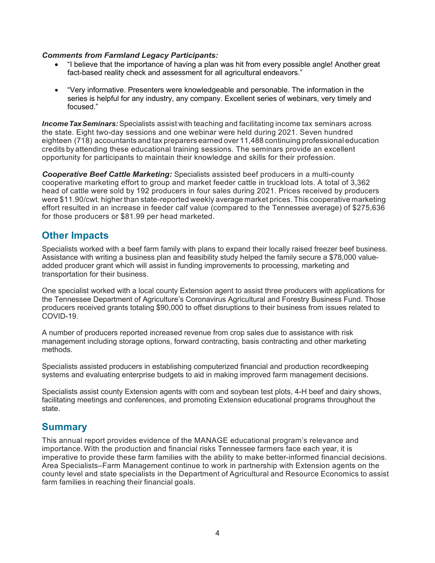#### *Comments from Farmland Legacy Participants:*

- "I believe that the importance of having a plan was hit from every possible angle! Another great fact-based reality check and assessment for all agricultural endeavors."
- "Very informative. Presenters were knowledgeable and personable. The information in the series is helpful for any industry, any company. Excellent series of webinars, very timely and focused."

*IncomeTaxSeminars:*Specialists assist with teaching and facilitating income tax seminars across the state. Eight two-day sessions and one webinar were held during 2021. Seven hundred eighteen (718) accountants and tax preparers earned over 11,488 continuing professional education credits by attending these educational training sessions. The seminars provide an excellent opportunity for participants to maintain their knowledge and skills for their profession.

*Cooperative Beef Cattle Marketing:* Specialists assisted beef producers in a multi-county cooperative marketing effort to group and market feeder cattle in truckload lots. A total of 3,362 head of cattle were sold by 192 producers in four sales during 2021. Prices received by producers were \$11.90/cwt. higher than state-reported weekly average market prices. This cooperative marketing effort resulted in an increase in feeder calf value (compared to the Tennessee average) of \$275,636 for those producers or \$81.99 per head marketed.

#### **Other Impacts**

Specialists worked with a beef farm family with plans to expand their locally raised freezer beef business. Assistance with writing a business plan and feasibility study helped the family secure a \$78,000 valueadded producer grant which will assist in funding improvements to processing, marketing and transportation for their business.

One specialist worked with a local county Extension agent to assist three producers with applications for the Tennessee Department of Agriculture's Coronavirus Agricultural and Forestry Business Fund. Those producers received grants totaling \$90,000 to offset disruptions to their business from issues related to COVID-19.

A number of producers reported increased revenue from crop sales due to assistance with risk management including storage options, forward contracting, basis contracting and other marketing methods.

Specialists assisted producers in establishing computerized financial and production recordkeeping systems and evaluating enterprise budgets to aid in making improved farm management decisions.

Specialists assist county Extension agents with corn and soybean test plots, 4-H beef and dairy shows, facilitating meetings and conferences, and promoting Extension educational programs throughout the state.

#### **Summary**

This annual report provides evidence of the MANAGE educational program's relevance and importance.With the production and financial risks Tennessee farmers face each year, it is imperative to provide these farm families with the ability to make better-informed financial decisions. Area Specialists–Farm Management continue to work in partnership with Extension agents on the county level and state specialists in the Department of Agricultural and Resource Economics to assist farm families in reaching their financial goals.